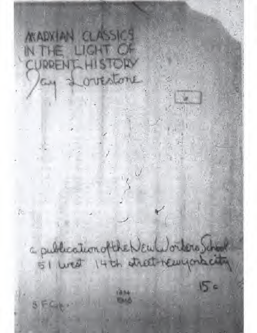**MADVIAN CLASSICS** IN THE LIGHT OF CURRENT HIS LORY ay a outstane

a publication of the New Workers School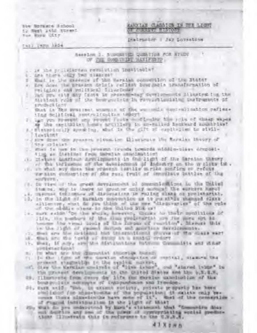live Refusce Richool ty Nest 1450 Street. Toe Ryse CLY ?

**LEVILE CLEATER IN THE LIGHT THE REAL PROPERTY OF** 

Inalruster I Jay Lovestees

THE INDE LESS

**Newslow I. SUPERVED QUESTIVE FOR STUDY** OF THE ROOM THEY DAVIETED

- is the proliferies revailing insuitable?
- I request that the roads state
- $11.$ What is the execute of the Marsiah connection of the Btater
- a) dee does the brasing sriets reties bragged by and a transformation of THE CALCO AND LESS LESS AND SALES FOR
- hat you cliff day front in prices what during a linuxer in the the TENIDADE LAET
- Shat in The systems (set where it of fire worked), contrained on rafime. ting Scilling, Herry Indian 18907
- I has you from the say reveal fucks buildinging him role of these sayes of the contrally hears arcillers to speculed featured soundered
- as a statute agent ha, what is the gift of capitalist to sivil-**Linguant**
- our sine dense som pressent rituation Elisaurute ing Markian theory of the critist
- star is not to the prosent trunks tomords middiversion cropost-Time an Institute from installate institution
- It clous anti- a residence and the light of the strain theory of the influence of the descriptions of Endorsey an the window is .
- war nien enmengtion af dhe zun; frult af Annanikus laitles of the HOLDWAYN'S
- (3) IN Tire of the great Acrossmobil of Doubled Long in the United tion on. May in there are grout or unitary morning the environs hoped
- . I. Hasman Collimburg of disposation in Multar since or prolutarial.
- 13, In the light of marmles conception as to you shall whatesed signs of the piddle cless to the billion six of
- : . pure saids "On the shoin, Americ, Cocurs Ar their monditions of ILO, On heathers of the disc production ors for more sun hehouse the real lovis of the forses of reachies', Missuel Wils in the light of recent during and anothers developments.
- (1) Meet one for to addition him chinesed formed provincial the mass want
- is. Mul are the toris of swep as a stand means.
- It. Week, if any, userite marketiments butmon Communists and street FAGURY La FREE GL
- n., In what first the disrustant atmostom busines.
- (1) In the time of the corator changeter of restall, stamme the of Sing the Markins controls of the inners, and "stared inner" in
- the process developments in the trated dischs and the billion.
- bourgoistan names of teaspunhases and freedom.
- Ot, man anid; "mak, in ansame suckety, proveto proporty has have shall must for answerments of the population; it skiks roly becours there also tenter have note of 1t"; that of the consecution of Pracod Intilities that the the tight of MAAT
- For which do you endergened by know 's standard that "Commercing Sher mill depthis any new of the power of oppropriating venial preducthem Climetrain this is suformer to the times.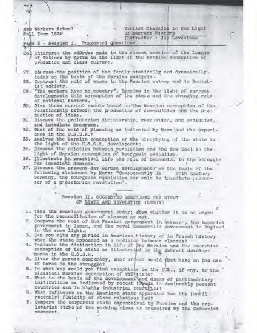Marxist Classics in the Light Now Workers School of Gurrent History Fall Torm 1935 Instructor : Jay Lovestona Page 2 - Session I. Suggested Questions 26. Interpret the address made in the recent assaion of the League of Nations by Motta in the light of the Navisal conseption of production and class culture. 27. Discuss the position of the family stationlly and dynamically today on the basis of the Marxina analysis. 28. Controst the role of women in the Fasciet set-up and in Socialist socioty. 29. "The workers have no country". Examine in the light of current developments this conception of the state and the changing role of national factors. 30, Give three current sweets based on the Merxian conception of the relationship between the preduction of commediates and the Freduction of ideas. 31. Discuss the proloterian dictatorship, revolution, and avaintion, and immediate programs. 52. What of the role of planning as indigented by Marx ond the experionce in the U.S.S.R.? 55, Analyse the Morxian conception of the & rephying of the state in the light of the U.S.S.R. developments. 34. Disucss the relation between povolution and the New Dani in thelight of Marxian conception of bourgools socialism. 36, Illustrate in practical life the role of Communica in the atruggle for immediate domands. 37. Disguss the present-day Gorman developments on the basis of the following statement by Marx: "Consequently in **JOEN GOGENETY** Germany, the bourgesis revelution can enly be insuffate precursur of a greletorian revolution". Seasion II. SUGGESTED QUESTIONS FOR STREY OF SEATE AND REVOLUTION (LENIN) 1. Take the American government boday; show whather it is an ergan for the reconcilistion of classes or not. 2. Compare the role of the Pascist government in Gorman-, the imporial government in Japan, and the royal democratic government in England in the same light. 3. Can you sits any pariod in American history or in Frunch history when the state appeared as a modiator hetween classes? 4. Tediasts the distinction in life of the Mersian and the aparents: conception of the atate as illustrated in the current developmante in the U.S.S.R. 5. Given the purest democracy, what offect would fint have on the mas of force in the struggle?

- 6. In what way would you find exceptions in the U.S., if any, to the classical Markian conception of the state?
- 7. What is the basis of the development and decay of parliamentary institutions as indicated by recent treads in desinantly peasant countries and in highly industrial countries?
- B. What influence on the American state apparatus has the (until. recently) fluidity of class relations had?
- 9. Compare the corporate state assemesived by Passion and the proleteriat state of the working class as conceived by the Commentst movement.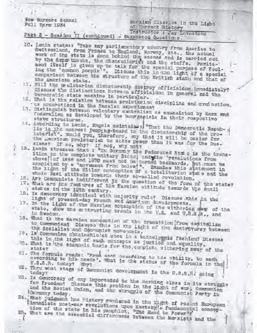## New Workers School Foll Torm 1934

# Marxian Classics in the Light of Curront History

# Instructor : Jay Lovestons Page 3 - Session II (continued) - Suggested Questions.

- 10. Lanin states: "Take any parliamentary country from America to Switzerland, from Prance to England, Norway, oto,, the actual work of the state is done bohind the seenes and is carried out by the doper thouts, the chancolloriot and the staffs. Parlia-' ment itself is given up to talk for the special purpose of fooling the 'common poople'". Discuss this in the light of a special comparison between the structure of the British state and that of the American state.
- 11. Will the proletarian dictatorship destroy officialdom innediately? Discuss the distinctions Between officialdom in general and the
- burcoratic state machine in particular.
- 12. What is the relation between proluterian discipline and production. La concretized in the Russian experience?
- 15. Distinguish botwown voluntary controlism as equanciated by Marx and foneralism as developed by the bourgepisic in their respective stabe structures.
- 14. According to Lenin, Engels meintains: "That the Democratic Repub- of lie is the mearest jumping-beard to the distatorship of the preleterlat". Would you, therefore, my that it will be casier for the American prolotarist to solze power than it was for the Rus-

sians? If so, why? If not, why not?

- 15. Lenin stresses that: "In Gormony the Federated Sta e is the transition be the complete unitary State, and the 'revolutions from above of 1866 and 1870 must not be turned backwards, but must be completed by a 'movement from below'". Examine this statement in the light of the Hitler conception of a totalitarian state and the whole Wazi attitude towards their so-called revolution.
- 
- 16. Are Communists indifferent to the question of the form of the state? 17. What are the features of the Marxian attitude tewards the small , states in the 19th century.
- 18. Is democracy identical with unjority rule? Discuss this in the light of present-day French and Amarican dovelopments.
- 17. In the light of the Marxian conception of the withering day of the state, show the contracting trends in the U.S. and U.S.S. R., and in Sweden.
- 18. What is the Marxian conquetion of the transition from empitedies to Communism? Disceps this in the light of the dentroversy between the Socialist and Communist movements.
- 19. Is Communism obtainable at once in a bataclysmic feahion? Discuss this in the light of such concepts as justice and equality.
- 20. What is the economic basis for the complete withering away of the
- 21. The formula reads: "From anab accepting to his ubility, to each cocording to his needs'. What is the status of the formula in the
- B2. Thru what stage of Germunist development is the U.S.S.R. going
- 23. Is democracy of any importance to the nording class in its struggle for freedom? Discuss this problem in the light of war, Communism and the Soviet Union, and the struggle of the Communist Party in Cormany today.
- 24. What judgment has history rendered in the light of resent European Ainmediate post-war revolutions upon Equisity's fundamental conception of the state in his pamphlot, "The Read to Power"s' 25. What are the assential differences between the Marxists and the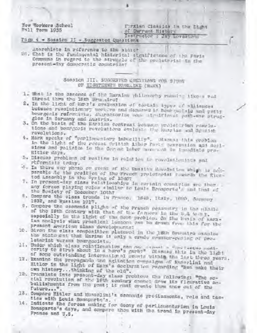Now Workers School Pall Form 1935

#### Pirxian Classica in the Light of Gurrant History Instructor : Jay Lordstene

## Page 4 - Sossion II - Suggested Questions

#### Anorchists in reference to the stater

24. That is the fundamental historical atguirigance of the Faria Communa in regard to the atraggle of the proleterial in the present-day democratic countries?

## Sombion III. SUGGESTED RUELTING POR S7UNT OF EIGHTEENTH BRUALINE (MANCO)

- 1. What is the essence of the Marxism philosophy running tike a red throad thru the 19th Brugino?
- 2. In the light of Mms's cvaluation of testain types of alliances between revelationary werking and demande is bear goolele and patty bourgenis referritta, characterine was siruificant pert-enr strugglos in Cormany and Austria.
- 3. On the basis of the Harilen contrast betusen proleigner pawelutions and bourgrois revolutions evaluate the Hussian and Spanish revelutions.
- 4. Marx speaks of "parlinuontary infactitiy". Disease this problem in the light of the recent frittian Liber Fante convention and decisions and palisics in the Comman Inber meeting in immadiate pre-Hitler days.
- 5. Discuss problems of wealism in relation to revolutionists sad rcfornists tedny.
- 6. Is there any phose or event of the Russian Roweletion which is mostparable to the pealtion of the French proleteriat formula the fivetod Assembly in the Spring of 15467
- 7. In present-day class relationships in cortain countries are ther . any forces playing roles similar to Louis Brasports's and that of the Seciety of December 10th?
- 8. Compara the class tronds in Franco. 1848, Italy, 1880, Company 1932, and Russian 1917.
- 9. Compare the sconemic plight of the Prunch peasunsry in the plastic of the 19th Contury with that of the farmers in the U.S temp. ospocially in the light of the Sobt problem. On the besis of karsian anclysis what practical lessons can be dream free this for the present American class developments?
- 10. Given the class composition platured in the 18th Sriemira examine the statement that Mariam is only a crede counter-paring of prolatariat versus bourgooisis.
- 11. Under which class rolationships can one orphor a directorshed modiof some outstanding international equate within the last three years.
- 12. Examine the propaganda and agitation evenalgue of Nusselial and Hitler in the light of Marx's doctoration regarding "Men make their own history... thinking of the old".
- 12. Translate into present-day class problems the following: "The social revolution of the 19th contury connet draw its figurative onbollishments from the past; it must evente them anow out of the futurb....
- 13. Compare Hitler and Musselini's economic prodissments, role and tasties with Louis Bounparts's.
- 14. Indicate the forces making for decay of parliamenterian in Louis Bounparts's days, and compare them with the trand in present-day France and U.S.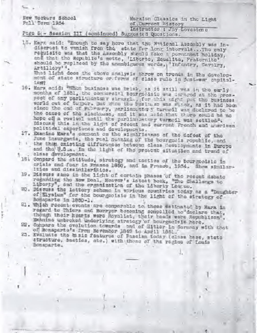New Workers School Fall Torm 1954

## Marxian Clemaics in the Light of Current Mistory Instructor : Jay Lovestono

## Page 5 - Sossion III (continued) Suggested Questions.

15. Marx said: "Enough to say horo that the National Auscraly was indiscreet to vanish from the state for long intervals... The enly reguisite was that the Assembly should take a permanent holiday, and that the Republic's motte, 'Liberto, Equalite, Fraternite' should be replaced by the unambiguous words, 'Infantry, Cavalry, Artillory'".

What light does the above analysis throw on trends in the developmont of state structure or forms of class rule in jost-war capital-1889

- 16. Marx anidz "Whom business was brisk, as it still was in the early months of 1851, the commercial bourgonisis was aniaged at the prespoet of any parlinsontery struggle, for this uight put the business world out of twiper. But wich the fusite so was strak, as it had been since the end of February, parliamentary turnedl was declared to be the cause of the slackman, and it was said that there sauld be no hope of a rowival until the parliamentery turnedl was settled": Discuss this in the light of resent and current French and werless political experience and developments.
- 17. Examine Marx's compant on the wighifleanes of the defeat of the June insurgents, the real meaning of the bourgoois republic, and the them existing differences between class developments in Europe and the U.S.a. in the light of the present aituation and trand of almss development.
- 
- 181 Compard the attitude, strategy and tactics of the bourgeaisic in crisis and foar in France 1850, and in Franco, 1934. Show similarities and dissimilarities.
- 19. Discuss samo in the light of cortain phases of the recent debate regarding the New Deal, Hosver's latest beek, "The Challenge to Liberty", and the erganization of the Liberty Lompus.
- 20. Discuss the lattery scheme in verious countries today as a "Daughter of Elyaium" for the bourgeoisie in the light of the strategy of Bonaparte in 1850-1.
- 21. Which recent events are comparable to these estimated by Marx in regard to Thiors and Borryer becoming compolled to declars that, though their hearts were Royalist, their heads were Republican". Examine unbroken underlying strategy of bourgecisin hore.
- 22. Compare the ovelution towards and of Hitler in Cormany with that of Bonaparts's from Nevember 1840 to April 1851.
- 23. Ewsluste the basic features of Fascism today (class base, state structure, bastics, stc.) with these of the regine of Louis Bonaparte.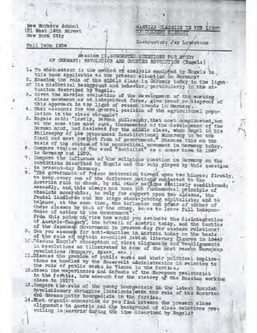New Workers School [5] West 14th Street New York Sity

Fall Term 1954

MARKIAN CLASSICS IN THE LIGHT **CIST CIFICAGE WAS TERSA CITED** 

Instructor: Jay Lowestone

Seasion IV, SUGGESTED QUESTIONS FOR STUDY OF GERMANY: REVOLUTION AND COUNTER REVOLUTION (Engels)

- 1. To what extent is the method of analysis employed by Engels in. this book applicable to the present situation in Germany?
- 2. Examine the role of the middle class in Germany today in the light . of its historical background and behavior, particularly in the situation described by Engels.
- 3. Given the Marxian evaluation of the development of the working class movement as an independent force, give proof or dispreef of
- this approach in the light of recent trends in Germany. 4. What accounts for the gameral position of the agricultural popu-
- lation in the class struggle?
- 5. Engels waid: "Lastly, German philosophy, that most complicated, but at the same time most sure, thereomoter of the development of the Gorman mind, had declared for the middle class, whom Hegol in his Philosophy of Law pronounced Constitutional Monarchy to be the final and most portect form of gavernment." Discuss this on the
- hasis of the status of the monarchical movement in Germany today. in Germany and 1930.
- 7. Compare the influence of the roligique question in Cormany on the senditions described by Engels and the role played by this question
- in present-day Germany.
- "The government of Prince Motternich turned upon two hinges; firstly. в. to keep every one of the different maticum subjected to the Austrian rule in chock, by mid other nations dimilarly conditioned; secondly, and this always has been the fundamental principle of absolute monarchics, to rely for support upon two classes, the foudal landlerds and the inrge steek-jobbing equitalists; and to balance, at the some time, the influence and power of either of these classes by that of the other, sease to leave full indepen-

From this point of view how would you estimate the disintegration of Austria-Rungary, the travail of Austria today, and the tactics of the Japanesp Government in present-day far castern relations?

- 9. Can you account for anti-Semitian in Austria today on the basis of the role of cortain somenlied Jowish literary figures in 1844;
- 10. Masura Engols" conception of class alignments and regalignments in revolutions as illustrated in some of the most recent European revolutions (Hungary, Spain, ste,)
- 11.Discuss tho problem of public works and their political implications as handled by the Roosevelt administration in relation to the role of public works in Vienna in the fortios.
- 12.Given the experiences and defeats of the Surepoan proletariat in the fortios, how assount for the victory of the Russian working class in 1917?
- 13. Compare the rold of the petty bourgeoisis in the latest Spanish movelutionary struggles (Catalonia)with the role of the Austrian and German potty bourgeoisie in the forties.
- 14. What organic commention do you find between the present slass alignments in Austria and the background of class relations prevoiling in austria Guring the time doscribed by Engels?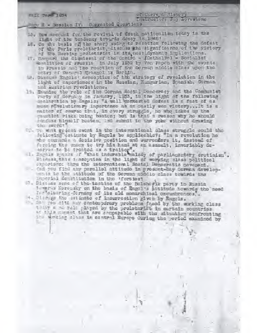Part Part 1954

of Current Sistery

# Fire E - Session IV. Suggested Questions.

- 15. Bow account for the revival of Creck nationalism today in the limit of the tendoney towards deeny in 1848?
- if, on the busis of the sherp swing to research following the defeat of the Resolen proletariat in its possibleyments implications.
- 17. Degrard the dignisent of the Contro funtholic) Socialist -porlition of Frussia in July 1952 by Von Papen with the events in Frussin and the reaction of the Gorman middle class upon the ontry of General Mrangel is Berlin.
- 18. Discuss Engels' conception of the strategy of revolution in the light of experiences in the Russian, Hungarian, Spanish, Gorman and Austrian revelutions.
- 19, Etuning the role of the Gorman Rocial Donceracy and the Communist party of Gormany in January, 1953, in the light of the following Woolbration by Engels: "A well contested dofest is a fact of as much revolution my inpertance as an onsily wen victory... It is a eatter of cearse that, in overy struggle, he who takes up the muntlet risks boing boaton; but is that a reason way he should fundoss himself booten, and submit to the yoke without drawing the sword?
- We wint regent event in the international class struggle could the following estimate by Engels be applicable?: "In a revolution he who common a docisive position and surronders it, instead of furning the chony to try his hand at an assault, invariably de-Maryon to be treated as a traiter". The Parliacentery cretinian".
- Discuss, this ignocytion in the light of working class political Atportance thru the international Social Democratic coverent.
- Can you find any parallol attitude in present-day German davelopments to the attitude of the Gorsan middle class towards the Imperial Constitution in the 'fortiest
- 2. Discuss send of the tactics of the Bolshowik party in Russia tempres Noronsky on the basis of Engol's attitude towards the need for closening-Cormany of its ald manarchical oncumbrances, ..
- 4. Michaeltho estimate of innurreation given by Engels.
- . Is you aits any contemperary problems frond by the sarking class they a me role phyped by the prolotarint in cortain countries as this more that are comparable with the mituation confronting the whating slass in contral Europe during the period examined by y.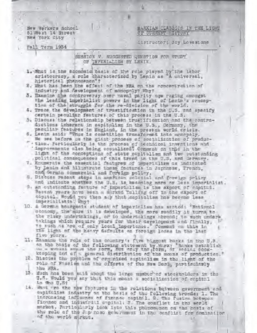New Warkers School 51 West 14 Street New York City

Fall Term 1954

MARXIAN CLASSICS IN THE LIGHT OF CURRENT HISTORY

Instructor: Jay Lovestone

SESSION V. SUCCESTED QUESTION FOR STUDY OF IMPERIALISM BY LENIN.

- L. What is the economic basis of the role played by the labor aristocracy, a role characterized by Lenin as "A universal, historical phanomenon"?
- 2. What has been the effect of the NRA on the concentration of industry and development of monopoly? Why?
- 3. Examine the controversy over naval parity now raging amongst the leading imperialist powers in the light of Lenin's conception of the struggle for the re-division of the world.
- 4. Trace the development of trustification in the U.S. and spacify certain paculiar features of this process in the U.S.
- 5. Discuss the relationship between trustification and the contradictions imherent in capitalism in the U.S., Cermany, the peculiar features in England, in the present world crisis.
- 6. Lenin said: "Thus is cometition transformed into monopoly. We see before us the giant process of socialization of produc-
- 'tion. Particularly is the process of technical inventions and<br>'improvements also being socialized! Comment on this in the light of the conceptions of state capitalism and two outstanding , political consequences of this trend in the U.S. and Germany.
- 7. Enumerate the essential features of imperialism as indicated by Lenin and Milustrate these features in Japanesa, French. and German commercial and foreign policy.
- 8. Discuss recent steps in american colonial and foreign prilay and indicate whether the U.S. is becoming more or loss imporinitat.
- 3. An outstanding feature of imperialism is the sxport of copital. Recent years have seen a marked Talling off in the export of copital. World you then any that sapitalism has recome less
- 10. & German bourgeois student of imperialism has stated: "National sconomy, the more it is daveloped, the more readily it turns to the risky undertakings, or to undertakings abroad; to such undertakings which require years for their development and finally, to such as are of only local impertance." Commont on this in five yours.
- 11. Examine the rele of the country's five biggest banks in the U.S. an the basis of the following statement by Marx: Banks ostatlish on a wested scale the rorm, out andy the form, or seater book-
- 12. Discuss the problem of organized capitalism in the light of the rols of Fascism and the offerts of the Mew Decl, particularly thu MBA.
- 13. Much has been said about the large number of stockholders in the U.S. Would you any that this meant a socialization of capital in the U.S.
- 14. What are the now foptures in the relations between government and eupitalist industry on the basis of the following tronds: 1. The 'increasing influence of finance capital. 2. The fusion between financo and industrial capital: J. The conflict in the werld market, Particularly look into this phonosonon on the basis of the rele of the Jup nest government in the conflict for domination of the world m'rket.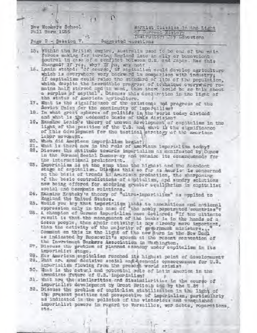New Workers School Pull Torm 1955

#### Marxist Classics in the Light of Current Mistory Instructor: Jay Lovestone

#### Page 2 - Session V. Suggested Succilons

- 15. Within the British cupiro, Australia ssod to be one of the mein forces making for turning England into an ally or benevelent countral in onse of a conflict between U.S. and Japan. Her this dhanged? If yes, why? If he, why not?<br>15. Lemin stated: "Of course, if capitalism could develop agriculture
- which is overywhere very backward in comparison with industry; if capitalism could raise the standard of life of the population, which despite the incredible progress of technique overywhere romains half starved and in want, then there could be no talk about a surplus of capital . Discuss this doclaration in the light of the status of American agriculture.
- 17. What is the significance of the existence mad pregress of the Soviet Union for the continuity of isperialism?
- 18. In what great spheres of politics is the world today divided and what is the understand basis of this division?
- 19. Examine Lening's theory of uneven development of empitalism in the light of the position of the U.S. and wart is the significance of this dovelopment for the tuctionl strategy of the american Labor movement.
- 20. Whom did Amorican importalize begin?
- 21. What is thord now in the rela of Amorianm importalism today?
- 22. Discuss the statundo aceards importalies as manifested by Cunce in the Gorman Secial Democracy and carmino its consequences for the international proletariat.
- 95. Importalism is at the sump time the highest and the decodent stage of empitalien. Dischas this so for as Amurica is concerned on the basis of tronds in American production, the sharponing of the basic contradictions of empitalism, and sundry solutions now boing offered for sochring greater equilibrium in copitalist social and composis relations.
- 24. Examing Kautsky's theory of "ultra-imporialism" as applied to England the United States.
- 25. Would you any that importains loads to annoxations and national
- 25. A champion of Corman importalism once declared; "If the ultimate result is that the management of the benks is in the hends of a dozen people, then shoir cotivity is now already mere important, than the cetivity of the sejority of government ministers. Commont on this in the light of the now turn in the New Daci as indicated by Roosevelt's spouch at the recent convention of
	- the Investment Bankers Association in Washington.
- ET. Discuss the problem of planned acondmy under empitalism in its imporialist stage.
- 28. Has amorican capitalism resoned its highest point of downlopment? 29. What are some docisive secial and aconomic opneoquences for U.S. importaiism flowing from the present world crimis?
- 30. What is the notes! and potential pole of Latin america in the immodicto future of U.S. importalism?
- 31. What are the similarities and dissimilarities in the course of importalist development by Great Britain and by the U.S?
- 32. Disauss the problem of capitalist stabilization in the light of the present position and porspective of imperializm, particularly as indicated in the policiok of the vistorious and vanquished imporialist pewers in regard to Versailles, war debts, reportions, ata.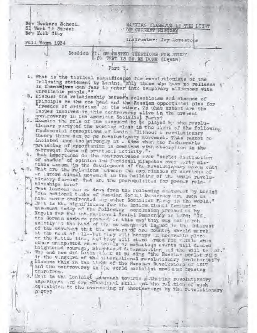May Workers School 51 Wast 14 Street New York City

MARXIAX CLASSICS IN THE LIGHT OF CURRENT HISTORY

Pall Temm 1934

Instructor: Jay Howestone

Sesiion VI, BU ABSTED QUESTIONS FOR STUDY . OW THAT IS TO HE DONE (Lenin)

Part I.

1. What is the tactionl significance for revolutionists of the following statement by Lenin; phly those who have no reliance in themselves can fass to enter into temporary alliances with unreliable people."?

2. Discuss the relationship between ocleatisism and absence of principle on the one hand and the Russian opportuniet plea for freedom of critician" in the other, ?d what extent are the Issues Involved in this controversy alive in the ore sent controversy in the American Socialist Party?

- tionary purty of the working class in the light of the following fundamental conceptions of Lening "Without a revolutionary theory there ean be no revolutionary movement. This cannot be insisted upon too strongly at . time when the fusivenable . presching of apportunism is combined with cheergtion in the narrewort forms of practucal metivity.".
- 4. hat importance do the controversies ever "strict distinction of shades" of opinion and feational disputes over wety mistakes assume in the development of the revolutionary movem ent? w.S. Whit are the relations atmost the axperiences of meetions of an intern tional movement as the huilding of the would reveluticatry forces. That are the prerequisites for proper relatimaships horot

That lossens oan a draw from the following statement by Lonin? 曰. "The notional tesks of Ressian Sor ml Donceracy mrs such as how never confronted ag ether Secialist Farty in the world." We Thit is the significance for the international Communist movement takey of the following conclusion arrived at hy Baguls for the international Rosial Democracy in 1874; "If. the Gorman workers proceed in this may they may not a reh expetly at the head of the movement-th is not in the interest of the movement that the workers of one country should merek at the houd of : 11 -- but they will heavy in Hennrakie glace on the Fattle line, and they will stend inned for watie when other unixpected grave trials or measureeus events will descred holghtened courage, startuned determination ad the will to at. w. Why and how did fanily whele of pl ofng "the Russian prolateriate in the very rd of the piternational revolutionary proletariat"? Discuss this in the light of the Russian Sevelutions of 1917 and the controversy in the world socialist movement arising thurufrom.

1. that is the Lonlaigh personah towards githering revelutionary uxpurity on and organization of skill und the rul tion of such equisition to the averse ing of shortcomings by the revolutionary ローキャッチ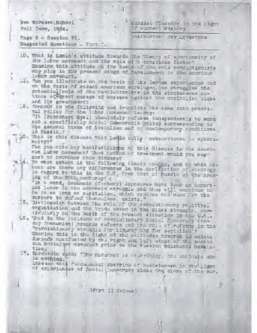| New Workers School<br>Marxist Classics in the Light<br>of current History<br>PA11 Term, 1934.                                                                                                                                                                                                                                                                           |
|-------------------------------------------------------------------------------------------------------------------------------------------------------------------------------------------------------------------------------------------------------------------------------------------------------------------------------------------------------------------------|
| Instructor: Jay Lounstone<br>Page 2 - Session VI.<br>Suggested Questions _ Part I.                                                                                                                                                                                                                                                                                      |
| 10. What is Lunin's attitude towards the theory of spentaneity of                                                                                                                                                                                                                                                                                                       |
| the labor movement and the role of a conscious factor?<br>Examine this attitude on the tesis of the rale revolutionists<br>mby play in the present stage of development in the American                                                                                                                                                                                 |
| labor movement.<br>11. "an you illustrate on the busis of the German experiences and                                                                                                                                                                                                                                                                                    |
| on the basis of recent American working-class struggles the<br>potential role of the revolutionists in the spontaneous ac-<br>tions of arest masses of workers against the capitalist class<br>and its government?                                                                                                                                                      |
| 2. Comment on the following and translate the same into prooti-<br>eal policy for the labor novement to-day:                                                                                                                                                                                                                                                            |
| "It (Habochaya Mysi) absolutely rafuses independently to work<br>out a specifically Secial Demacratic policy corresponding to<br>the general tasks of Socialism and to contemporary conditions.<br>in Russia.                                                                                                                                                           |
| What is this disease that Lemin salls washarviened to sponta-<br>nuity?"                                                                                                                                                                                                                                                                                                |
| Tim you cite any manifestations of this disease in the Ameri-<br>can labor movement? That method of trustment would you sug-<br>gost to overcome this didense?                                                                                                                                                                                                          |
| n 14. To what extent is the following timely to-day, and to what ax-<br>tunt are there any differences in the application of atrofogy<br>in regard to this in the U.S. from that of Russia at the spen-<br>ing of the 20th centurey? -<br>"In a word, deenamie (fectory) expectres have been an import-<br>int lover in the economic struggle and they will continue to |
| be on as long as sapitalism, which creates the need for the<br>workers to defend the sulves, exists,"<br>15. Distinguish between the role of the revolutionary political<br>orgenization and the tride union in the slass struggle, par-                                                                                                                                |
| tidularly an the basis of the present situation in the U.S<br>48. That is the untitude of revolutionary Sonici Democracy (to-<br>duy Communism) towards referrs and the role of referrs in the                                                                                                                                                                          |
| "revolutionary struggle for liberty and for secialism'?<br>Examine this in the light of the attitudes towards immediate<br>durands munifested by the right and left wings of the Ameri-<br>oun Bocinlist movement prior to the Sussion Bolshovik Novelu-<br>tich.                                                                                                       |
| 7. Bornstdin said: "The novemet is overything, the ultimate aim-<br>is nothing.                                                                                                                                                                                                                                                                                         |
| Lisaasse ahis fundamentul poetrino of revisionese in the light<br>of experiences of Social Suppersey since the close of the war.                                                                                                                                                                                                                                        |
| II folows                                                                                                                                                                                                                                                                                                                                                               |
|                                                                                                                                                                                                                                                                                                                                                                         |

o i

ì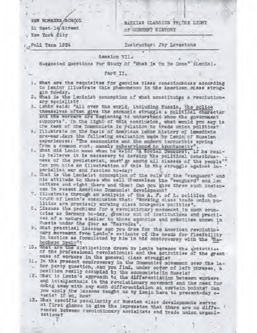NEW WORKERS /SCHOOL 51 Hest 14 Street

New York City

MARXIAN CLASSICS TWITHE LIGHT OF GURRENT HISTORY

Pall Term 1954

Instructor: Jay Lovestona

### . Session VII.

Suggested Questions For Study Of "What Is to Be Dons" (Lenin),

#### Part II.

- 1, What are the requisites for genuine class consciousness according to Leniny Illustrate this phenomenon in the American ciass struggle to-day.
- 2. What is the Leminist conception of what constitutes a revolutionary socialist?
- 3. Lenin said: "All over the world, including Russia, the police themselves often give the scondaic struggle a political character and the workars are beginning to understand whom the government supports', In the light of this conclusion, what would you say is the task of the Communists in relation to trade union politica?
- 4. Illustrate on the basis of American labor history of immediate pre-war, days the following evaluation made by Lenin of Russian experiences: "The economists and the modern terrorists spring from a common root, namely subservience to spontaneity".
- 5. What did Lemin mean when he said: "A Social Democrat, if he really believes it is mecassary to develop the political consolousness of the proletarist, must go among all classes of the people"" Can you site an illustration of this in the struggle against in- ' perialist war and fascism to-day?
- 4. What is the Lenimist conception of the role of the "vanguard" and his attitude to these who call themselves the "venguard" and let matters and right there and then? Can you give three such instancas in recent American Communist development?
- 7. Illustrate through an analysis of the A. F. of L. politics the truth of Lenin's conslusion that: "Working class trade union politics are presisely working class bourgeois politics".
- 5. Sisausa the problems for a revolutionary movement in such countries as Cormany to-day, growing out of institutions and practides of a nature similar to those agencies and präctices known in Russia under the Gtor as "Resvodka".
- 9. What practical lessons can you drew for the American revolutionary movement from Lonin's estimate of the needs for flexibility in testics as formulated by him in his controversy with the "Habocheye Dyelo"?
- 10. What are the distinctions drawn by Lenin between the activities of the professional revolutionist and the activities of the great . mass of workers in the general class struggle?
- 11. In the present controversy in the Communist movement over the labor party question, can you find, under cover of left phrases, a position reslly occupied by the aconomists in Russian
- 12. That is Lenin's approach to the differentiation between workers and intellectuals in the revolutionary movement and the need for doing away with any such differentiation at certain points? Can you apply the lessons taught us by Lenin here to present-day o-
- 13. What specific peculiarity of Russian class developments served at first glance to give the impression that there are no differences between revolutionary assialists and trade union organizations?